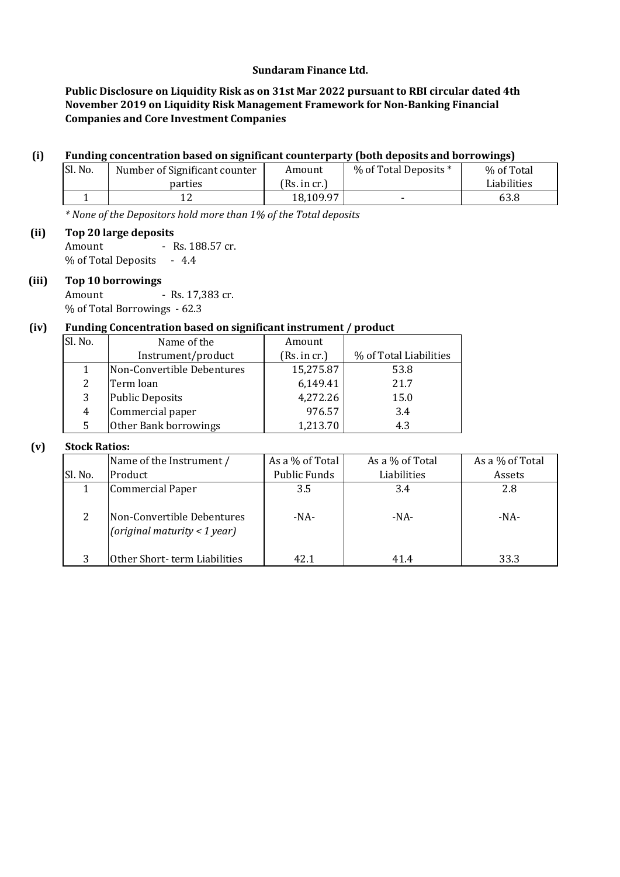## **Sundaram Finance Ltd.**

**Public Disclosure on Liquidity Risk as on 31st Mar 2022 pursuant to RBI circular dated 4th November 2019 on Liquidity Risk Management Framework for Non-Banking Financial Companies and Core Investment Companies**

#### **(i) Funding concentration based on significant counterparty (both deposits and borrowings)**

| Sl. No. | Number of Significant counter | Amount        | % of Total Deposits * | % of Total  |
|---------|-------------------------------|---------------|-----------------------|-------------|
|         | parties                       | (Rs. in cr. ) |                       | Liabilities |
|         |                               | 18,109.97     |                       | 63.8        |

*\* None of the Depositors hold more than 1% of the Total deposits*

**(ii) Top 20 large deposits** Amount - Rs. 188.57 cr.

% of Total Deposits - 4.4

## **(iii) Top 10 borrowings**

Amount - Rs. 17,383 cr. % of Total Borrowings - 62.3

### **(iv) Funding Concentration based on significant instrument / product**

| Sl. No. | Name of the                | Amount       |                        |
|---------|----------------------------|--------------|------------------------|
|         | Instrument/product         | (Rs. in cr.) | % of Total Liabilities |
|         | Non-Convertible Debentures | 15,275.87    | 53.8                   |
|         | Term loan                  | 6,149.41     | 21.7                   |
| 3       | <b>Public Deposits</b>     | 4,272.26     | 15.0                   |
| 4       | Commercial paper           | 976.57       | 3.4                    |
| 5       | Other Bank borrowings      | 1,213.70     | 4.3                    |

### **(v) Stock Ratios:**

|         | Name of the Instrument /                                   | As a % of Total | As a % of Total | As a % of Total |  |
|---------|------------------------------------------------------------|-----------------|-----------------|-----------------|--|
| Sl. No. | Product                                                    | Public Funds    | Liabilities     | Assets          |  |
|         | <b>Commercial Paper</b>                                    | 3.5             | 3.4             | 2.8             |  |
| 2       | Non-Convertible Debentures<br>(original maturity < 1 year) | $-NA-$          | $-NA-$          | -NA-            |  |
| 3       | Other Short-term Liabilities                               | 42.1            | 41.4            | 33.3            |  |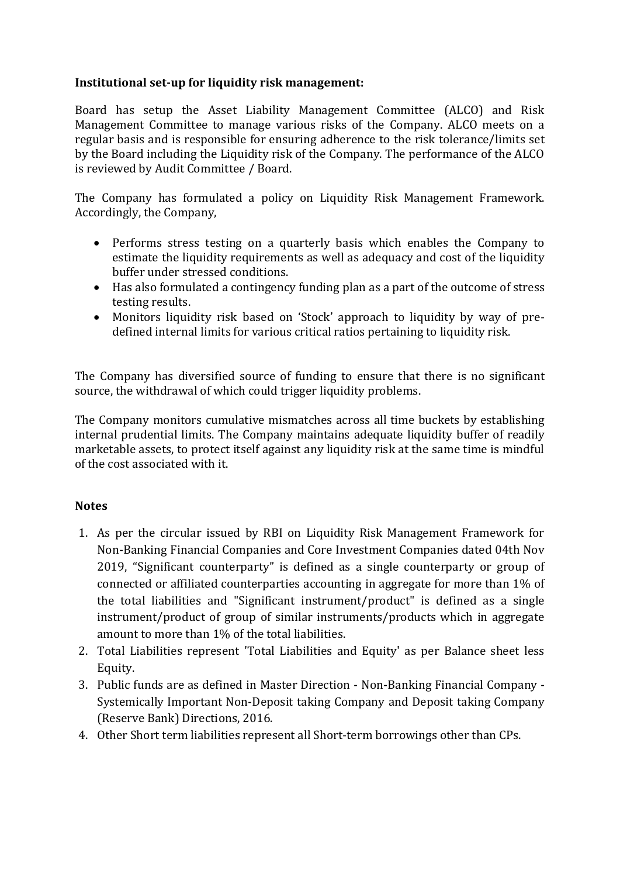# **Institutional set-up for liquidity risk management:**

Board has setup the Asset Liability Management Committee (ALCO) and Risk Management Committee to manage various risks of the Company. ALCO meets on a regular basis and is responsible for ensuring adherence to the risk tolerance/limits set by the Board including the Liquidity risk of the Company. The performance of the ALCO is reviewed by Audit Committee / Board.

The Company has formulated a policy on Liquidity Risk Management Framework. Accordingly, the Company,

- Performs stress testing on a quarterly basis which enables the Company to estimate the liquidity requirements as well as adequacy and cost of the liquidity buffer under stressed conditions.
- Has also formulated a contingency funding plan as a part of the outcome of stress testing results.
- Monitors liquidity risk based on 'Stock' approach to liquidity by way of predefined internal limits for various critical ratios pertaining to liquidity risk.

The Company has diversified source of funding to ensure that there is no significant source, the withdrawal of which could trigger liquidity problems.

The Company monitors cumulative mismatches across all time buckets by establishing internal prudential limits. The Company maintains adequate liquidity buffer of readily marketable assets, to protect itself against any liquidity risk at the same time is mindful of the cost associated with it.

## **Notes**

- 1. As per the circular issued by RBI on Liquidity Risk Management Framework for Non-Banking Financial Companies and Core Investment Companies dated 04th Nov 2019, "Significant counterparty" is defined as a single counterparty or group of connected or affiliated counterparties accounting in aggregate for more than 1% of the total liabilities and "Significant instrument/product" is defined as a single instrument/product of group of similar instruments/products which in aggregate amount to more than 1% of the total liabilities.
- 2. Total Liabilities represent 'Total Liabilities and Equity' as per Balance sheet less Equity.
- 3. Public funds are as defined in Master Direction Non-Banking Financial Company Systemically Important Non-Deposit taking Company and Deposit taking Company (Reserve Bank) Directions, 2016.
- 4. Other Short term liabilities represent all Short-term borrowings other than CPs.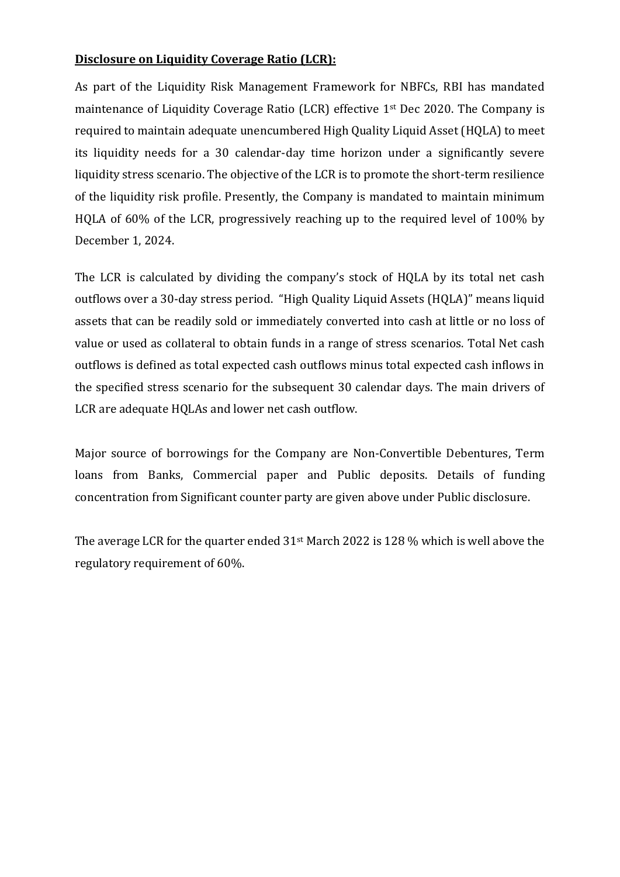# **Disclosure on Liquidity Coverage Ratio (LCR):**

As part of the Liquidity Risk Management Framework for NBFCs, RBI has mandated maintenance of Liquidity Coverage Ratio (LCR) effective 1st Dec 2020. The Company is required to maintain adequate unencumbered High Quality Liquid Asset (HQLA) to meet its liquidity needs for a 30 calendar-day time horizon under a significantly severe liquidity stress scenario. The objective of the LCR is to promote the short-term resilience of the liquidity risk profile. Presently, the Company is mandated to maintain minimum HQLA of 60% of the LCR, progressively reaching up to the required level of 100% by December 1, 2024.

The LCR is calculated by dividing the company's stock of HQLA by its total net cash outflows over a 30-day stress period. "High Quality Liquid Assets (HQLA)" means liquid assets that can be readily sold or immediately converted into cash at little or no loss of value or used as collateral to obtain funds in a range of stress scenarios. Total Net cash outflows is defined as total expected cash outflows minus total expected cash inflows in the specified stress scenario for the subsequent 30 calendar days. The main drivers of LCR are adequate HQLAs and lower net cash outflow.

Major source of borrowings for the Company are Non-Convertible Debentures, Term loans from Banks, Commercial paper and Public deposits. Details of funding concentration from Significant counter party are given above under Public disclosure.

The average LCR for the quarter ended 31st March 2022 is 128 % which is well above the regulatory requirement of 60%.